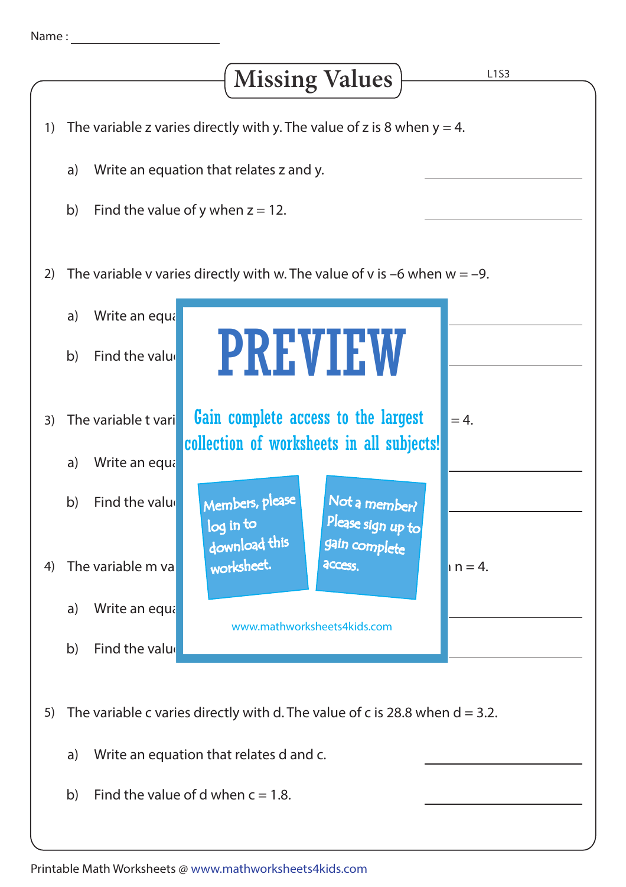